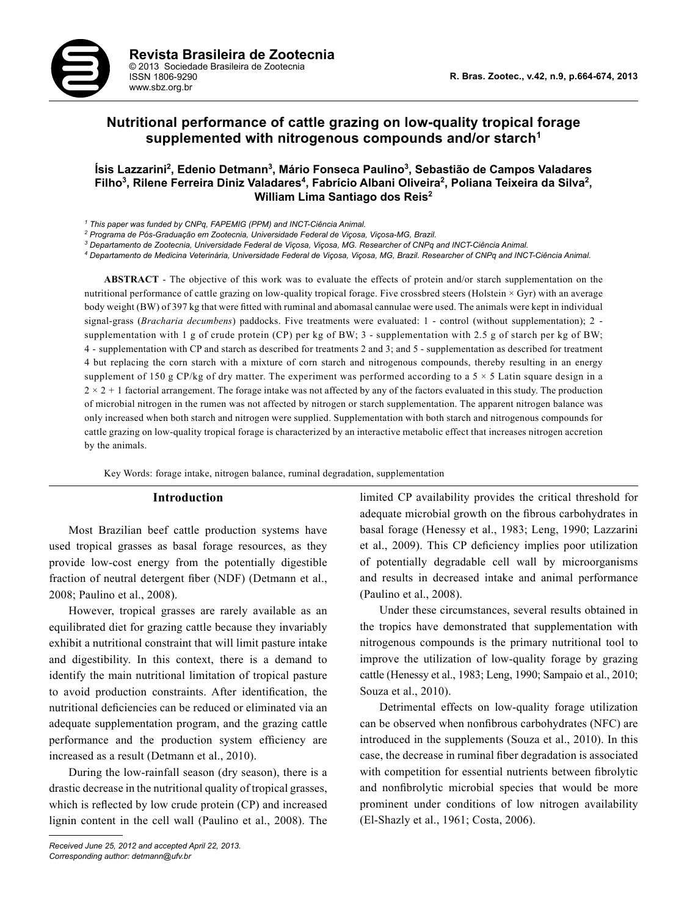

# **Nutritional performance of cattle grazing on low-quality tropical forage supplemented with nitrogenous compounds and/or starch1**

# İsis Lazzarini<sup>2</sup>, Edenio Detmann<sup>3</sup>, Mário Fonseca Paulino<sup>3</sup>, Sebastião de Campos Valadares **Filho3 , Rilene Ferreira Diniz Valadares<sup>4</sup> , Fabrício Albani Oliveira2 , Poliana Teixeira da Silva2 , William Lima Santiago dos Reis2**

*1 This paper was funded by CNPq, FAPEMIG (PPM) and INCT-Ciência Animal.*

*2 Programa de Pós-Graduação em Zootecnia, Universidade Federal de Viçosa, Viçosa-MG, Brazil.*

*3 Departamento de Zootecnia, Universidade Federal de Viçosa, Viçosa, MG. Researcher of CNPq and INCT-Ciência Animal.*

*4 Departamento de Medicina Veterinária, Universidade Federal de Viçosa, Viçosa, MG, Brazil. Researcher of CNPq and INCT-Ciência Animal.*

**ABSTRACT** - The objective of this work was to evaluate the effects of protein and/or starch supplementation on the nutritional performance of cattle grazing on low-quality tropical forage. Five crossbred steers (Holstein  $\times$  Gyr) with an average body weight (BW) of 397 kg that were fitted with ruminal and abomasal cannulae were used. The animals were kept in individual signal-grass (*Bracharia decumbens*) paddocks. Five treatments were evaluated: 1 - control (without supplementation); 2 supplementation with 1 g of crude protein (CP) per kg of BW; 3 - supplementation with 2.5 g of starch per kg of BW; 4 - supplementation with CP and starch as described for treatments 2 and 3; and 5 - supplementation as described for treatment 4 but replacing the corn starch with a mixture of corn starch and nitrogenous compounds, thereby resulting in an energy supplement of 150 g CP/kg of dry matter. The experiment was performed according to a  $5 \times 5$  Latin square design in a  $2 \times 2 + 1$  factorial arrangement. The forage intake was not affected by any of the factors evaluated in this study. The production of microbial nitrogen in the rumen was not affected by nitrogen or starch supplementation. The apparent nitrogen balance was only increased when both starch and nitrogen were supplied. Supplementation with both starch and nitrogenous compounds for cattle grazing on low-quality tropical forage is characterized by an interactive metabolic effect that increases nitrogen accretion by the animals.

Key Words: forage intake, nitrogen balance, ruminal degradation, supplementation

### **Introduction**

Most Brazilian beef cattle production systems have used tropical grasses as basal forage resources, as they provide low-cost energy from the potentially digestible fraction of neutral detergent fiber (NDF) (Detmann et al., 2008; Paulino et al., 2008).

However, tropical grasses are rarely available as an equilibrated diet for grazing cattle because they invariably exhibit a nutritional constraint that will limit pasture intake and digestibility. In this context, there is a demand to identify the main nutritional limitation of tropical pasture to avoid production constraints. After identification, the nutritional deficiencies can be reduced or eliminated via an adequate supplementation program, and the grazing cattle performance and the production system efficiency are increased as a result (Detmann et al., 2010).

During the low-rainfall season (dry season), there is a drastic decrease in the nutritional quality of tropical grasses, which is reflected by low crude protein (CP) and increased lignin content in the cell wall (Paulino et al., 2008). The limited CP availability provides the critical threshold for adequate microbial growth on the fibrous carbohydrates in basal forage (Henessy et al., 1983; Leng, 1990; Lazzarini et al., 2009). This CP deficiency implies poor utilization of potentially degradable cell wall by microorganisms and results in decreased intake and animal performance (Paulino et al., 2008).

Under these circumstances, several results obtained in the tropics have demonstrated that supplementation with nitrogenous compounds is the primary nutritional tool to improve the utilization of low-quality forage by grazing cattle (Henessy et al., 1983; Leng, 1990; Sampaio et al., 2010; Souza et al., 2010).

Detrimental effects on low-quality forage utilization can be observed when nonfibrous carbohydrates (NFC) are introduced in the supplements (Souza et al., 2010). In this case, the decrease in ruminal fiber degradation is associated with competition for essential nutrients between fibrolytic and nonfibrolytic microbial species that would be more prominent under conditions of low nitrogen availability (El-Shazly et al., 1961; Costa, 2006).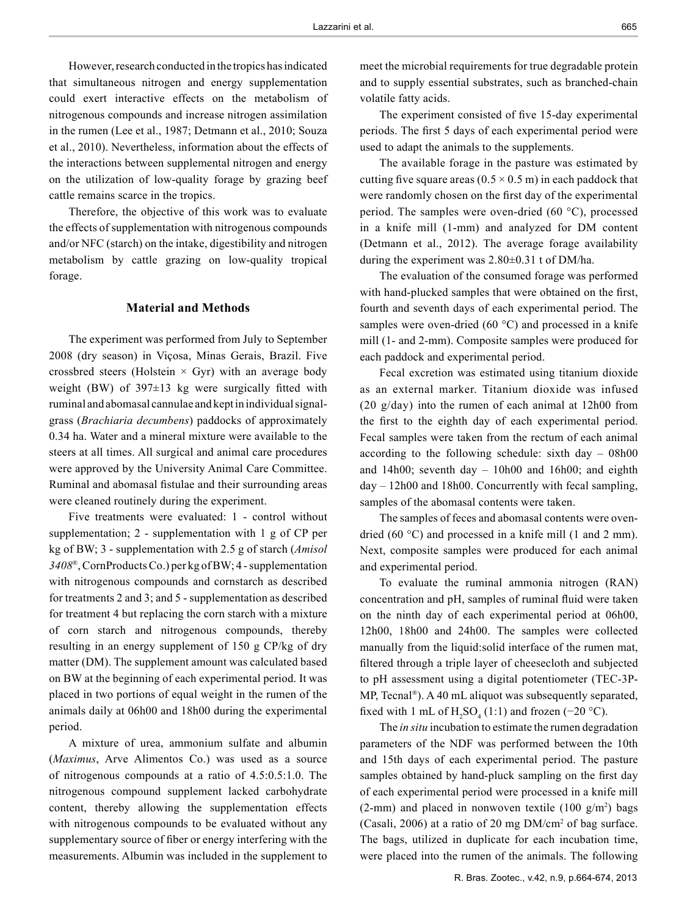However, research conducted in the tropics has indicated that simultaneous nitrogen and energy supplementation could exert interactive effects on the metabolism of nitrogenous compounds and increase nitrogen assimilation in the rumen (Lee et al., 1987; Detmann et al., 2010; Souza et al., 2010). Nevertheless, information about the effects of the interactions between supplemental nitrogen and energy on the utilization of low-quality forage by grazing beef cattle remains scarce in the tropics.

Therefore, the objective of this work was to evaluate the effects of supplementation with nitrogenous compounds and/or NFC (starch) on the intake, digestibility and nitrogen metabolism by cattle grazing on low-quality tropical forage.

#### **Material and Methods**

The experiment was performed from July to September 2008 (dry season) in Viçosa, Minas Gerais, Brazil. Five crossbred steers (Holstein  $\times$  Gyr) with an average body weight (BW) of  $397\pm13$  kg were surgically fitted with ruminal and abomasal cannulae and kept in individual signalgrass (*Brachiaria decumbens*) paddocks of approximately 0.34 ha. Water and a mineral mixture were available to the steers at all times. All surgical and animal care procedures were approved by the University Animal Care Committee. Ruminal and abomasal fistulae and their surrounding areas were cleaned routinely during the experiment.

Five treatments were evaluated: 1 - control without supplementation; 2 - supplementation with 1 g of CP per kg of BW; 3 - supplementation with 2.5 g of starch (*Amisol 3408*®, CornProducts Co.) per kg of BW; 4 - supplementation with nitrogenous compounds and cornstarch as described for treatments 2 and 3; and 5 - supplementation as described for treatment 4 but replacing the corn starch with a mixture of corn starch and nitrogenous compounds, thereby resulting in an energy supplement of 150 g CP/kg of dry matter (DM). The supplement amount was calculated based on BW at the beginning of each experimental period. It was placed in two portions of equal weight in the rumen of the animals daily at 06h00 and 18h00 during the experimental period.

A mixture of urea, ammonium sulfate and albumin (*Maximus*, Arve Alimentos Co.) was used as a source of nitrogenous compounds at a ratio of 4.5:0.5:1.0. The nitrogenous compound supplement lacked carbohydrate content, thereby allowing the supplementation effects with nitrogenous compounds to be evaluated without any supplementary source of fiber or energy interfering with the measurements. Albumin was included in the supplement to

meet the microbial requirements for true degradable protein and to supply essential substrates, such as branched-chain volatile fatty acids.

The experiment consisted of five 15-day experimental periods. The first 5 days of each experimental period were used to adapt the animals to the supplements.

The available forage in the pasture was estimated by cutting five square areas  $(0.5 \times 0.5 \text{ m})$  in each paddock that were randomly chosen on the first day of the experimental period. The samples were oven-dried (60 °C), processed in a knife mill (1-mm) and analyzed for DM content (Detmann et al., 2012). The average forage availability during the experiment was 2.80±0.31 t of DM/ha.

The evaluation of the consumed forage was performed with hand-plucked samples that were obtained on the first, fourth and seventh days of each experimental period. The samples were oven-dried (60 °C) and processed in a knife mill (1- and 2-mm). Composite samples were produced for each paddock and experimental period.

Fecal excretion was estimated using titanium dioxide as an external marker. Titanium dioxide was infused (20 g/day) into the rumen of each animal at 12h00 from the first to the eighth day of each experimental period. Fecal samples were taken from the rectum of each animal according to the following schedule: sixth day  $-$  08h00 and 14h00; seventh day – 10h00 and 16h00; and eighth day – 12h00 and 18h00. Concurrently with fecal sampling, samples of the abomasal contents were taken.

The samples of feces and abomasal contents were ovendried (60 °C) and processed in a knife mill (1 and 2 mm). Next, composite samples were produced for each animal and experimental period.

To evaluate the ruminal ammonia nitrogen (RAN) concentration and pH, samples of ruminal fluid were taken on the ninth day of each experimental period at 06h00, 12h00, 18h00 and 24h00. The samples were collected manually from the liquid:solid interface of the rumen mat, filtered through a triple layer of cheesecloth and subjected to pH assessment using a digital potentiometer (TEC-3P-MP, Tecnal®). A 40 mL aliquot was subsequently separated, fixed with 1 mL of  $H_2SO_4(1:1)$  and frozen (-20 °C).

The *in situ* incubation to estimate the rumen degradation parameters of the NDF was performed between the 10th and 15th days of each experimental period. The pasture samples obtained by hand-pluck sampling on the first day of each experimental period were processed in a knife mill (2-mm) and placed in nonwoven textile (100  $g/m^2$ ) bags (Casali, 2006) at a ratio of 20 mg DM/cm2 of bag surface. The bags, utilized in duplicate for each incubation time, were placed into the rumen of the animals. The following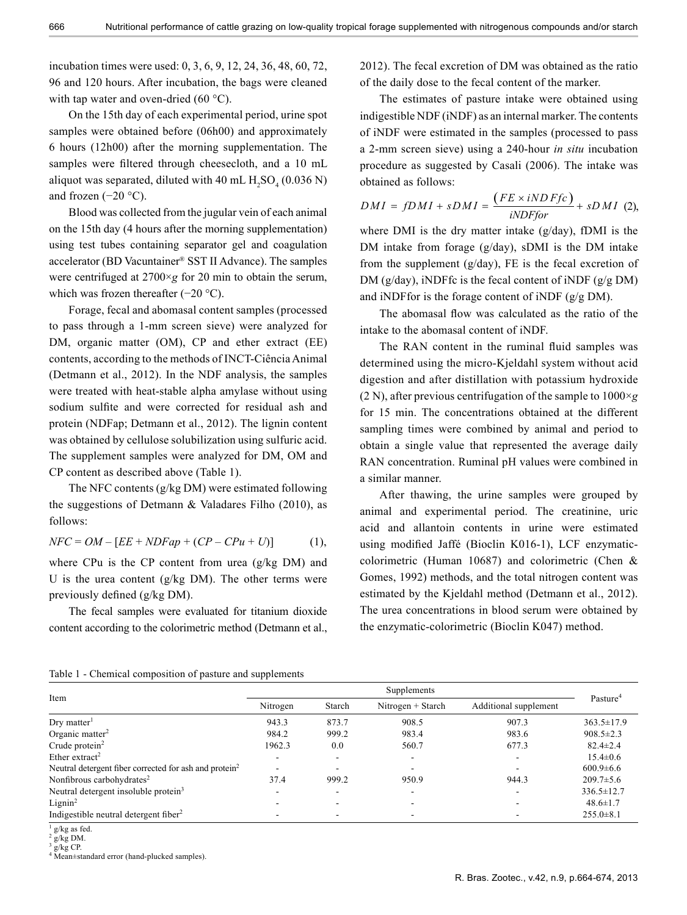incubation times were used: 0, 3, 6, 9, 12, 24, 36, 48, 60, 72, 96 and 120 hours. After incubation, the bags were cleaned with tap water and oven-dried (60 $\degree$ C).

On the 15th day of each experimental period, urine spot samples were obtained before (06h00) and approximately 6 hours (12h00) after the morning supplementation. The samples were filtered through cheesecloth, and a 10 mL aliquot was separated, diluted with 40 mL  $H_2SO_4(0.036\ N)$ and frozen  $(-20 \degree C)$ .

Blood was collected from the jugular vein of each animal on the 15th day (4 hours after the morning supplementation) using test tubes containing separator gel and coagulation accelerator (BD Vacuntainer® SST II Advance). The samples were centrifuged at 2700×*g* for 20 min to obtain the serum, which was frozen thereafter (−20 °C).

Forage, fecal and abomasal content samples (processed to pass through a 1-mm screen sieve) were analyzed for DM, organic matter (OM), CP and ether extract (EE) contents, according to the methods of INCT-Ciência Animal (Detmann et al., 2012). In the NDF analysis, the samples were treated with heat-stable alpha amylase without using sodium sulfite and were corrected for residual ash and protein (NDFap; Detmann et al., 2012). The lignin content was obtained by cellulose solubilization using sulfuric acid. The supplement samples were analyzed for DM, OM and CP content as described above (Table 1).

The NFC contents (g/kg DM) were estimated following the suggestions of Detmann & Valadares Filho (2010), as follows:

$$
NFC = OM - [EE + NDFap + (CP - CPu + U)] \tag{1}
$$

where CPu is the CP content from urea (g/kg DM) and U is the urea content  $(g/kg \text{ DM})$ . The other terms were previously defined (g/kg DM).

The fecal samples were evaluated for titanium dioxide content according to the colorimetric method (Detmann et al., 2012). The fecal excretion of DM was obtained as the ratio of the daily dose to the fecal content of the marker.

The estimates of pasture intake were obtained using indigestible NDF (iNDF) as an internal marker. The contents of iNDF were estimated in the samples (processed to pass a 2-mm screen sieve) using a 240-hour *in situ* incubation procedure as suggested by Casali (2006). The intake was obtained as follows:

$$
DMI = fDMI + sDMI = \frac{(FE \times iNDFfc)}{iNDFfor} + sDMI \text{ (2)},
$$

where DMI is the dry matter intake (g/day), fDMI is the DM intake from forage (g/day), sDMI is the DM intake from the supplement  $(g/day)$ , FE is the fecal excretion of DM ( $g/day$ ), iNDFfc is the fecal content of iNDF ( $g/g$  DM) and iNDFfor is the forage content of iNDF (g/g DM).

The abomasal flow was calculated as the ratio of the intake to the abomasal content of iNDF.

The RAN content in the ruminal fluid samples was determined using the micro-Kjeldahl system without acid digestion and after distillation with potassium hydroxide (2 N), after previous centrifugation of the sample to 1000×*g* for 15 min. The concentrations obtained at the different sampling times were combined by animal and period to obtain a single value that represented the average daily RAN concentration. Ruminal pH values were combined in a similar manner.

After thawing, the urine samples were grouped by animal and experimental period. The creatinine, uric acid and allantoin contents in urine were estimated using modified Jaffé (Bioclin K016-1), LCF enzymaticcolorimetric (Human 10687) and colorimetric (Chen & Gomes, 1992) methods, and the total nitrogen content was estimated by the Kjeldahl method (Detmann et al., 2012). The urea concentrations in blood serum were obtained by the enzymatic-colorimetric (Bioclin K047) method.

Table 1 - Chemical composition of pasture and supplements

|                                                                    | Supplements |        |                          |                       |                      |  |  |  |
|--------------------------------------------------------------------|-------------|--------|--------------------------|-----------------------|----------------------|--|--|--|
| Item                                                               | Nitrogen    | Starch | $Nitrogen + Starch$      | Additional supplement | Pasture <sup>4</sup> |  |  |  |
| $Dry$ matter <sup>1</sup>                                          | 943.3       | 873.7  | 908.5                    | 907.3                 | $363.5 \pm 17.9$     |  |  |  |
| Organic matter <sup>2</sup>                                        | 984.2       | 999.2  | 983.4                    | 983.6                 | $908.5 \pm 2.3$      |  |  |  |
| Crude protein $2$                                                  | 1962.3      | 0.0    | 560.7                    | 677.3                 | $82.4 \pm 2.4$       |  |  |  |
| Ether extract <sup>2</sup>                                         |             | ۰.     | $\overline{\phantom{a}}$ | ۰                     | $15.4 \pm 0.6$       |  |  |  |
| Neutral detergent fiber corrected for ash and protein <sup>2</sup> |             |        |                          |                       | $600.9 \pm 6.6$      |  |  |  |
| Nonfibrous carbohydrates <sup>2</sup>                              | 37.4        | 999.2  | 950.9                    | 944.3                 | $209.7 \pm 5.6$      |  |  |  |
| Neutral detergent insoluble protein <sup>3</sup>                   |             | ۰.     | $\overline{\phantom{0}}$ | ۰                     | $336.5 \pm 12.7$     |  |  |  |
| Lignin <sup>2</sup>                                                |             |        |                          | ۰                     | $48.6 \pm 1.7$       |  |  |  |
| Indigestible neutral detergent fiber <sup>2</sup>                  |             |        |                          |                       | $255.0 \pm 8.1$      |  |  |  |

1 g/kg as fed.

 $2$  g/kg DM.

3 g/kg CP.

4 Mean±standard error (hand-plucked samples).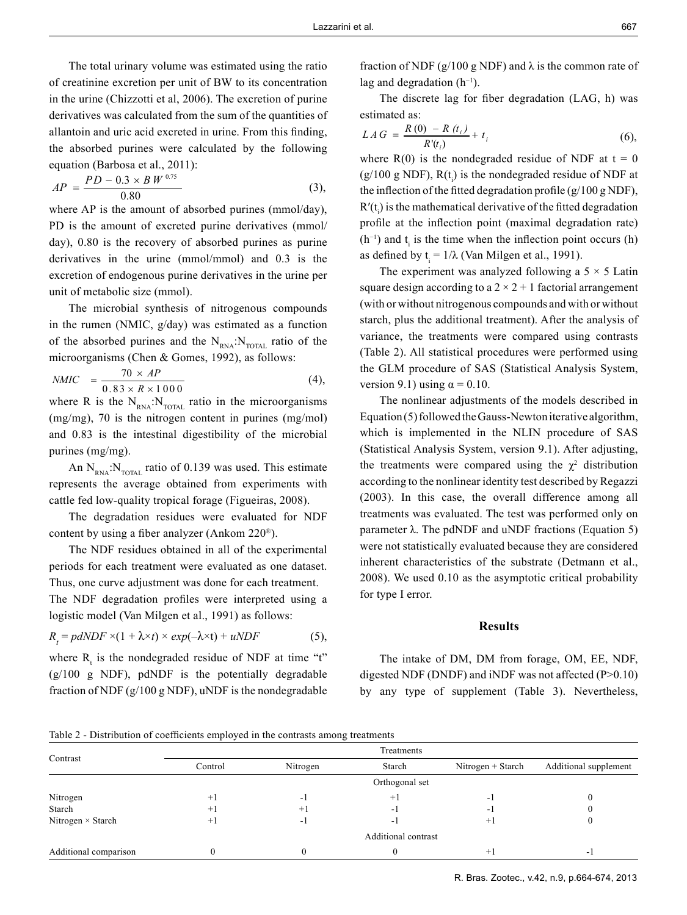The total urinary volume was estimated using the ratio of creatinine excretion per unit of BW to its concentration in the urine (Chizzotti et al, 2006). The excretion of purine derivatives was calculated from the sum of the quantities of allantoin and uric acid excreted in urine. From this finding, the absorbed purines were calculated by the following equation (Barbosa et al., 2011):

$$
AP = \frac{PD - 0.3 \times BW^{0.75}}{0.80} \tag{3}
$$

where AP is the amount of absorbed purines (mmol/day), PD is the amount of excreted purine derivatives (mmol/ day), 0.80 is the recovery of absorbed purines as purine derivatives in the urine (mmol/mmol) and 0.3 is the excretion of endogenous purine derivatives in the urine per unit of metabolic size (mmol).

The microbial synthesis of nitrogenous compounds in the rumen (NMIC, g/day) was estimated as a function of the absorbed purines and the  $N_{RNA}:N_{\text{TOTAL}}$  ratio of the microorganisms (Chen & Gomes, 1992), as follows:

$$
NMIC = \frac{70 \times AP}{0.83 \times R \times 1000}
$$
 (4),

where R is the  $N_{RNA}:N_{\text{TOTAL}}$  ratio in the microorganisms (mg/mg), 70 is the nitrogen content in purines (mg/mol) and 0.83 is the intestinal digestibility of the microbial purines (mg/mg).

An  $N_{RNA}$ :  $N_{TOTAL}$  ratio of 0.139 was used. This estimate represents the average obtained from experiments with cattle fed low-quality tropical forage (Figueiras, 2008).

The degradation residues were evaluated for NDF content by using a fiber analyzer (Ankom 220®).

The NDF residues obtained in all of the experimental periods for each treatment were evaluated as one dataset. Thus, one curve adjustment was done for each treatment.

The NDF degradation profiles were interpreted using a logistic model (Van Milgen et al., 1991) as follows:

$$
R_t = pdNDF \times (1 + \lambda \times t) \times exp(-\lambda \times t) + uNDF
$$
 (5),

where  $R_t$  is the nondegraded residue of NDF at time "t" (g/100 g NDF), pdNDF is the potentially degradable fraction of NDF (g/100 g NDF), uNDF is the nondegradable

fraction of NDF ( $g/100 g$  NDF) and  $\lambda$  is the common rate of lag and degradation (h<sup>-1</sup>).

The discrete lag for fiber degradation (LAG, h) was estimated as:

$$
LA G = \frac{R(0) - R(t_i)}{R'(t_i)} + t_i
$$
 (6),

where  $R(0)$  is the nondegraded residue of NDF at  $t = 0$  $(g/100 \text{ g } \text{NDF})$ ,  $R(t_i)$  is the nondegraded residue of NDF at the inflection of the fitted degradation profile  $(g/100 g \text{ NDF})$ ,  $R'(t)$  is the mathematical derivative of the fitted degradation profile at the inflection point (maximal degradation rate)  $(h^{-1})$  and  $t_i$  is the time when the inflection point occurs (h) as defined by  $t_i = 1/\lambda$  (Van Milgen et al., 1991).

The experiment was analyzed following a  $5 \times 5$  Latin square design according to a  $2 \times 2 + 1$  factorial arrangement (with or without nitrogenous compounds and with or without starch, plus the additional treatment). After the analysis of variance, the treatments were compared using contrasts (Table 2). All statistical procedures were performed using the GLM procedure of SAS (Statistical Analysis System, version 9.1) using  $\alpha = 0.10$ .

The nonlinear adjustments of the models described in Equation (5) followed the Gauss-Newton iterative algorithm, which is implemented in the NLIN procedure of SAS (Statistical Analysis System, version 9.1). After adjusting, the treatments were compared using the  $\chi^2$  distribution according to the nonlinear identity test described by Regazzi (2003). In this case, the overall difference among all treatments was evaluated. The test was performed only on parameter λ. The pdNDF and uNDF fractions (Equation 5) were not statistically evaluated because they are considered inherent characteristics of the substrate (Detmann et al., 2008). We used 0.10 as the asymptotic critical probability for type I error.

### **Results**

The intake of DM, DM from forage, OM, EE, NDF, digested NDF (DNDF) and iNDF was not affected (P>0.10) by any type of supplement (Table 3). Nevertheless,

Table 2 - Distribution of coefficients employed in the contrasts among treatments

|                          |         |          | Treatments          |                     |                          |
|--------------------------|---------|----------|---------------------|---------------------|--------------------------|
| Contrast                 | Control | Nitrogen | Starch              | $Nitrogen + Starch$ | Additional supplement    |
|                          |         |          | Orthogonal set      |                     |                          |
| Nitrogen                 | $^{+1}$ | -        |                     |                     |                          |
| Starch                   | +       | ÷ι       | - 1                 | - 1                 |                          |
| Nitrogen $\times$ Starch | $+$     | ۰.       | - 1                 | + I                 |                          |
|                          |         |          | Additional contrast |                     |                          |
| Additional comparison    |         |          |                     | $^+$                | $\overline{\phantom{a}}$ |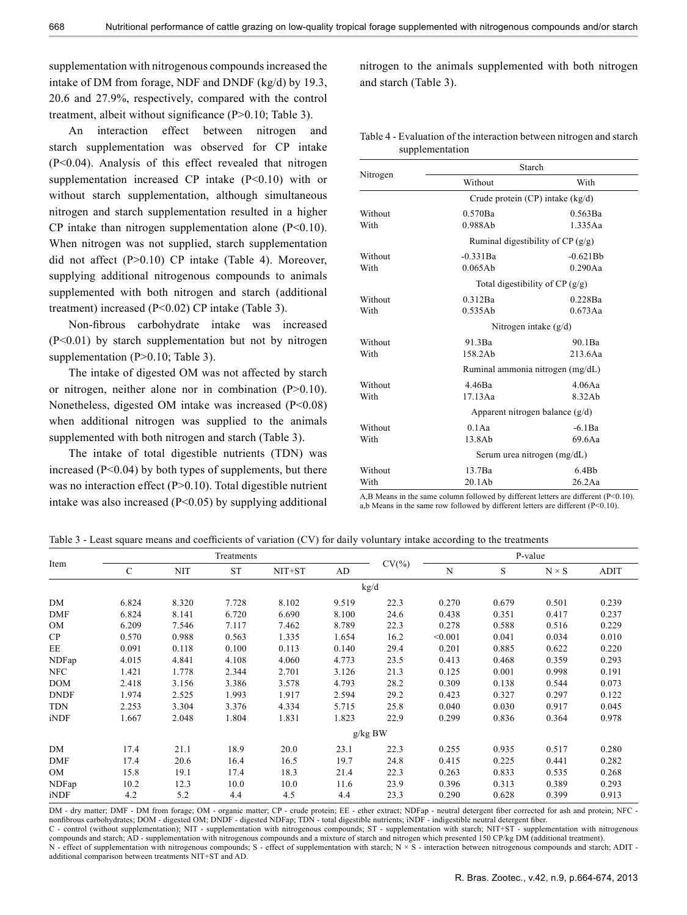supplementation with nitrogenous compounds increased the intake of DM from forage, NDF and DNDF (kg/d) by 19.3, 20.6 and 27.9%, respectively, compared with the control treatment, albeit without significance (P>0.10; Table 3).

An interaction effect between nitrogen and starch supplementation was observed for CP intake (P<0.04). Analysis of this effect revealed that nitrogen supplementation increased CP intake  $(P<0.10)$  with or without starch supplementation, although simultaneous nitrogen and starch supplementation resulted in a higher CP intake than nitrogen supplementation alone  $(P<0.10)$ . When nitrogen was not supplied, starch supplementation did not affect (P>0.10) CP intake (Table 4). Moreover, supplying additional nitrogenous compounds to animals supplemented with both nitrogen and starch (additional treatment) increased (P<0.02) CP intake (Table 3).

Non-fibrous carbohydrate intake was increased  $(P<0.01)$  by starch supplementation but not by nitrogen supplementation (P>0.10; Table 3).

The intake of digested OM was not affected by starch or nitrogen, neither alone nor in combination (P>0.10). Nonetheless, digested OM intake was increased (P<0.08) when additional nitrogen was supplied to the animals supplemented with both nitrogen and starch (Table 3).

The intake of total digestible nutrients (TDN) was increased  $(P<0.04)$  by both types of supplements, but there was no interaction effect (P>0.10). Total digestible nutrient intake was also increased  $(P<0.05)$  by supplying additional

nitrogen to the animals supplemented with both nitrogen and starch (Table 3).

Table 4 - Evaluation of the interaction between nitrogen and starch supplementation

| Starch                               |                   |  |  |  |  |  |
|--------------------------------------|-------------------|--|--|--|--|--|
| Without                              | With              |  |  |  |  |  |
| Crude protein $(CP)$ intake $(kg/d)$ |                   |  |  |  |  |  |
| 0.570Ba                              | 0.563Ba           |  |  |  |  |  |
| 0.988Ab                              | 1.335Aa           |  |  |  |  |  |
| Ruminal digestibility of $CP(g/g)$   |                   |  |  |  |  |  |
| $-0.331Ba$                           | $-0.621Bb$        |  |  |  |  |  |
| 0.065Ab                              | 0.290Aa           |  |  |  |  |  |
| Total digestibility of $CP(g/g)$     |                   |  |  |  |  |  |
| 0.312Ba                              | 0.228Ba           |  |  |  |  |  |
| 0.535Ab                              | 0.673Aa           |  |  |  |  |  |
| Nitrogen intake $(g/d)$              |                   |  |  |  |  |  |
| 91.3Ba                               | 90.1Ba            |  |  |  |  |  |
| 158.2Ab                              | 213.6Aa           |  |  |  |  |  |
| Ruminal ammonia nitrogen (mg/dL)     |                   |  |  |  |  |  |
| 4.46Ba                               | 4.06Aa            |  |  |  |  |  |
| 17.13Aa                              | 8.32Ab            |  |  |  |  |  |
| Apparent nitrogen balance $(g/d)$    |                   |  |  |  |  |  |
| 0.1Aa                                | $-6.1Ba$          |  |  |  |  |  |
| 13.8Ab                               | 69.6Aa            |  |  |  |  |  |
| Serum urea nitrogen (mg/dL)          |                   |  |  |  |  |  |
| 13.7Ba                               | 6.4B <sub>b</sub> |  |  |  |  |  |
| 20.1Ab                               | 26.2Aa            |  |  |  |  |  |
|                                      |                   |  |  |  |  |  |

A,B Means in the same column followed by different letters are different (P<0.10). a,b Means in the same row followed by different letters are different (P<0.10).

| Table 3 - Least square means and coefficients of variation (CV) for daily voluntary intake according to the treatments |  |  |
|------------------------------------------------------------------------------------------------------------------------|--|--|
|------------------------------------------------------------------------------------------------------------------------|--|--|

|             |               | Treatments |           | P-value |       |           |         |       |              |             |
|-------------|---------------|------------|-----------|---------|-------|-----------|---------|-------|--------------|-------------|
| Item        | $\mathcal{C}$ | <b>NIT</b> | <b>ST</b> | NIT+ST  | AD    | $CV(\% )$ | N       | S     | $N \times S$ | <b>ADIT</b> |
|             |               |            |           |         |       | kg/d      |         |       |              |             |
| DM          | 6.824         | 8.320      | 7.728     | 8.102   | 9.519 | 22.3      | 0.270   | 0.679 | 0.501        | 0.239       |
| <b>DMF</b>  | 6.824         | 8.141      | 6.720     | 6.690   | 8.100 | 24.6      | 0.438   | 0.351 | 0.417        | 0.237       |
| OM          | 6.209         | 7.546      | 7.117     | 7.462   | 8.789 | 22.3      | 0.278   | 0.588 | 0.516        | 0.229       |
| CP          | 0.570         | 0.988      | 0.563     | 1.335   | 1.654 | 16.2      | < 0.001 | 0.041 | 0.034        | 0.010       |
| EE          | 0.091         | 0.118      | 0.100     | 0.113   | 0.140 | 29.4      | 0.201   | 0.885 | 0.622        | 0.220       |
| NDFap       | 4.015         | 4.841      | 4.108     | 4.060   | 4.773 | 23.5      | 0.413   | 0.468 | 0.359        | 0.293       |
| <b>NFC</b>  | 1.421         | 1.778      | 2.344     | 2.701   | 3.126 | 21.3      | 0.125   | 0.001 | 0.998        | 0.191       |
| <b>DOM</b>  | 2.418         | 3.156      | 3.386     | 3.578   | 4.793 | 28.2      | 0.309   | 0.138 | 0.544        | 0.073       |
| <b>DNDF</b> | 1.974         | 2.525      | 1.993     | 1.917   | 2.594 | 29.2      | 0.423   | 0.327 | 0.297        | 0.122       |
| <b>TDN</b>  | 2.253         | 3.304      | 3.376     | 4.334   | 5.715 | 25.8      | 0.040   | 0.030 | 0.917        | 0.045       |
| iNDF        | 1.667         | 2.048      | 1.804     | 1.831   | 1.823 | 22.9      | 0.299   | 0.836 | 0.364        | 0.978       |
|             |               |            |           |         |       | g/kg BW   |         |       |              |             |
| DM          | 17.4          | 21.1       | 18.9      | 20.0    | 23.1  | 22.3      | 0.255   | 0.935 | 0.517        | 0.280       |
| <b>DMF</b>  | 17.4          | 20.6       | 16.4      | 16.5    | 19.7  | 24.8      | 0.415   | 0.225 | 0.441        | 0.282       |
| <b>OM</b>   | 15.8          | 19.1       | 17.4      | 18.3    | 21.4  | 22.3      | 0.263   | 0.833 | 0.535        | 0.268       |
| NDFap       | 10.2          | 12.3       | 10.0      | 10.0    | 11.6  | 23.9      | 0.396   | 0.313 | 0.389        | 0.293       |
| iNDF        | 4.2           | 5.2        | 4.4       | 4.5     | 4.4   | 23.3      | 0.290   | 0.628 | 0.399        | 0.913       |

DM - dry matter; DMF - DM from forage; OM - organic matter; CP - crude protein; EE - ether extract; NDFap - neutral detergent fiber corrected for ash and protein; NFC nonfibrous carbohydrates; DOM - digested OM; DNDF - digested NDFap; TDN - total digestible nutrients; iNDF - indigestible neutral detergent fiber. C - control (without supplementation); NIT - supplementation with nitrogenous compounds; ST - supplementation with starch; NIT+ST - supplementation with nitrogenous

compounds and starch; AD - supplementation with nitrogenous compounds and a mixture of starch and nitrogen which presented 150 CP/kg DM (additional treatment). N - effect of supplementation with nitrogenous compounds; S - effect of supplementation with starch; N × S - interaction between nitrogenous compounds and starch; ADIT additional comparison between treatments NIT+ST and AD.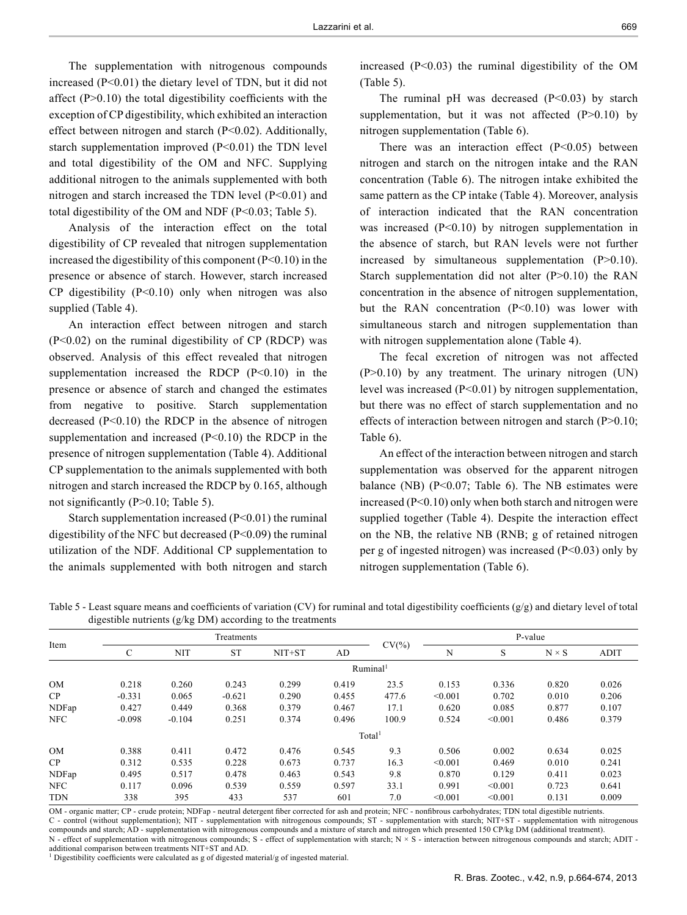The supplementation with nitrogenous compounds increased (P<0.01) the dietary level of TDN, but it did not affect  $(P>0.10)$  the total digestibility coefficients with the exception of CP digestibility, which exhibited an interaction effect between nitrogen and starch (P<0.02). Additionally, starch supplementation improved (P<0.01) the TDN level and total digestibility of the OM and NFC. Supplying additional nitrogen to the animals supplemented with both nitrogen and starch increased the TDN level (P<0.01) and total digestibility of the OM and NDF (P<0.03; Table 5).

Analysis of the interaction effect on the total digestibility of CP revealed that nitrogen supplementation increased the digestibility of this component  $(P<0.10)$  in the presence or absence of starch. However, starch increased CP digestibility  $(P<0.10)$  only when nitrogen was also supplied (Table 4).

An interaction effect between nitrogen and starch  $(P<0.02)$  on the ruminal digestibility of CP (RDCP) was observed. Analysis of this effect revealed that nitrogen supplementation increased the RDCP  $(P<0.10)$  in the presence or absence of starch and changed the estimates from negative to positive. Starch supplementation decreased  $(P<0.10)$  the RDCP in the absence of nitrogen supplementation and increased  $(P<0.10)$  the RDCP in the presence of nitrogen supplementation (Table 4). Additional CP supplementation to the animals supplemented with both nitrogen and starch increased the RDCP by 0.165, although not significantly (P>0.10; Table 5).

Starch supplementation increased (P<0.01) the ruminal digestibility of the NFC but decreased (P<0.09) the ruminal utilization of the NDF. Additional CP supplementation to the animals supplemented with both nitrogen and starch increased  $(P<0.03)$  the ruminal digestibility of the OM (Table 5).

The ruminal pH was decreased  $(P<0.03)$  by starch supplementation, but it was not affected (P>0.10) by nitrogen supplementation (Table 6).

There was an interaction effect  $(P<0.05)$  between nitrogen and starch on the nitrogen intake and the RAN concentration (Table 6). The nitrogen intake exhibited the same pattern as the CP intake (Table 4). Moreover, analysis of interaction indicated that the RAN concentration was increased (P<0.10) by nitrogen supplementation in the absence of starch, but RAN levels were not further increased by simultaneous supplementation (P>0.10). Starch supplementation did not alter  $(P>0.10)$  the RAN concentration in the absence of nitrogen supplementation, but the RAN concentration (P<0.10) was lower with simultaneous starch and nitrogen supplementation than with nitrogen supplementation alone (Table 4).

The fecal excretion of nitrogen was not affected (P>0.10) by any treatment. The urinary nitrogen (UN) level was increased (P<0.01) by nitrogen supplementation, but there was no effect of starch supplementation and no effects of interaction between nitrogen and starch (P>0.10; Table 6).

An effect of the interaction between nitrogen and starch supplementation was observed for the apparent nitrogen balance (NB) (P<0.07; Table 6). The NB estimates were increased  $(P<0.10)$  only when both starch and nitrogen were supplied together (Table 4). Despite the interaction effect on the NB, the relative NB (RNB; g of retained nitrogen per g of ingested nitrogen) was increased (P<0.03) only by nitrogen supplementation (Table 6).

| Item       | Treatments |            |           |        |       |                      | P-value |         |              |             |
|------------|------------|------------|-----------|--------|-------|----------------------|---------|---------|--------------|-------------|
|            | С          | <b>NIT</b> | <b>ST</b> | NIT+ST | AD    | $CV(\% )$            | N       | S       | $N \times S$ | <b>ADIT</b> |
|            |            |            |           |        |       | Ruminal <sup>1</sup> |         |         |              |             |
| <b>OM</b>  | 0.218      | 0.260      | 0.243     | 0.299  | 0.419 | 23.5                 | 0.153   | 0.336   | 0.820        | 0.026       |
| CP         | $-0.331$   | 0.065      | $-0.621$  | 0.290  | 0.455 | 477.6                | < 0.001 | 0.702   | 0.010        | 0.206       |
| NDFap      | 0.427      | 0.449      | 0.368     | 0.379  | 0.467 | 17.1                 | 0.620   | 0.085   | 0.877        | 0.107       |
| <b>NFC</b> | $-0.098$   | $-0.104$   | 0.251     | 0.374  | 0.496 | 100.9                | 0.524   | < 0.001 | 0.486        | 0.379       |
|            |            |            |           |        |       | Total <sup>1</sup>   |         |         |              |             |
| <b>OM</b>  | 0.388      | 0.411      | 0.472     | 0.476  | 0.545 | 9.3                  | 0.506   | 0.002   | 0.634        | 0.025       |
| CP         | 0.312      | 0.535      | 0.228     | 0.673  | 0.737 | 16.3                 | < 0.001 | 0.469   | 0.010        | 0.241       |
| NDFap      | 0.495      | 0.517      | 0.478     | 0.463  | 0.543 | 9.8                  | 0.870   | 0.129   | 0.411        | 0.023       |
| <b>NFC</b> | 0.117      | 0.096      | 0.539     | 0.559  | 0.597 | 33.1                 | 0.991   | < 0.001 | 0.723        | 0.641       |
| <b>TDN</b> | 338        | 395        | 433       | 537    | 601   | 7.0                  | < 0.001 | < 0.001 | 0.131        | 0.009       |

Table 5 - Least square means and coefficients of variation (CV) for ruminal and total digestibility coefficients  $(g/g)$  and dietary level of total digestible nutrients (g/kg DM) according to the treatments

OM - organic matter; CP - crude protein; NDFap - neutral detergent fiber corrected for ash and protein; NFC - nonfibrous carbohydrates; TDN total digestible nutrients. C - control (without supplementation); NIT - supplementation with nitrogenous compounds; ST - supplementation with starch; NIT+ST - supplementation with nitrogenous compounds and starch; AD - supplementation with nitrogenous compounds and a mixture of starch and nitrogen which presented 150 CP/kg DM (additional treatment). N - effect of supplementation with nitrogenous compounds; S - effect of supplementation with starch; N × S - interaction between nitrogenous compounds and starch; ADIT additional comparison between treatments NIT+ST and AD.

<sup>1</sup> Digestibility coefficients were calculated as g of digested material/g of ingested material.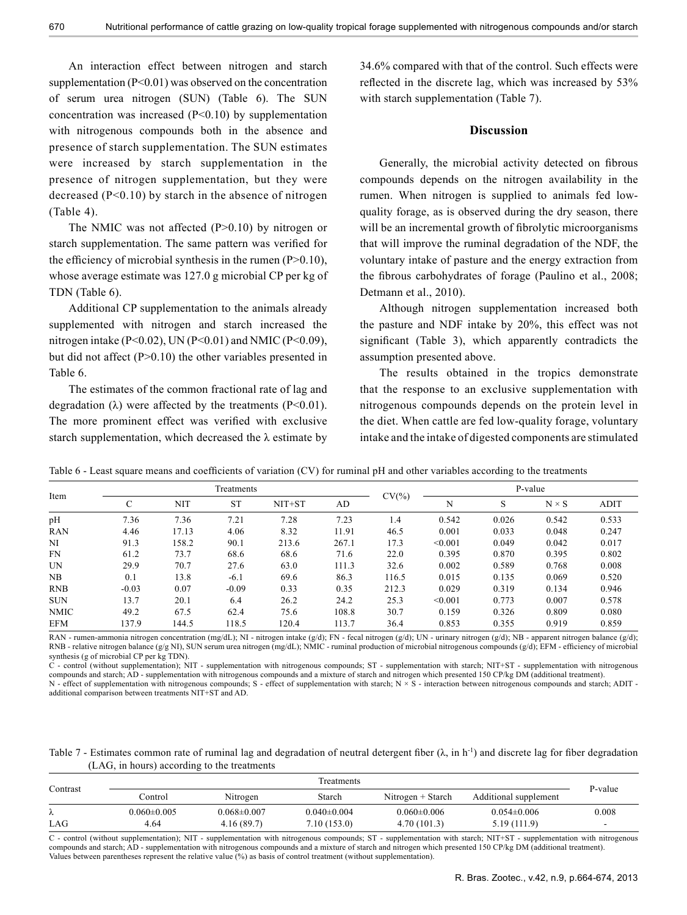An interaction effect between nitrogen and starch supplementation  $(P<0.01)$  was observed on the concentration of serum urea nitrogen (SUN) (Table 6). The SUN concentration was increased  $(P<0.10)$  by supplementation with nitrogenous compounds both in the absence and presence of starch supplementation. The SUN estimates were increased by starch supplementation in the presence of nitrogen supplementation, but they were decreased  $(P<0.10)$  by starch in the absence of nitrogen (Table 4).

The NMIC was not affected  $(P>0.10)$  by nitrogen or starch supplementation. The same pattern was verified for the efficiency of microbial synthesis in the rumen  $(P>0.10)$ , whose average estimate was 127.0 g microbial CP per kg of TDN (Table 6).

Additional CP supplementation to the animals already supplemented with nitrogen and starch increased the nitrogen intake (P<0.02), UN (P<0.01) and NMIC (P<0.09), but did not affect (P>0.10) the other variables presented in Table 6.

The estimates of the common fractional rate of lag and degradation ( $\lambda$ ) were affected by the treatments (P<0.01). The more prominent effect was verified with exclusive starch supplementation, which decreased the  $\lambda$  estimate by 34.6% compared with that of the control. Such effects were reflected in the discrete lag, which was increased by 53% with starch supplementation (Table 7).

#### **Discussion**

Generally, the microbial activity detected on fibrous compounds depends on the nitrogen availability in the rumen. When nitrogen is supplied to animals fed lowquality forage, as is observed during the dry season, there will be an incremental growth of fibrolytic microorganisms that will improve the ruminal degradation of the NDF, the voluntary intake of pasture and the energy extraction from the fibrous carbohydrates of forage (Paulino et al., 2008; Detmann et al., 2010).

Although nitrogen supplementation increased both the pasture and NDF intake by 20%, this effect was not significant (Table 3), which apparently contradicts the assumption presented above.

The results obtained in the tropics demonstrate that the response to an exclusive supplementation with nitrogenous compounds depends on the protein level in the diet. When cattle are fed low-quality forage, voluntary intake and the intake of digested components are stimulated

| Item        |         | Treatments |           |        |       |           |         | P-value |              |             |  |
|-------------|---------|------------|-----------|--------|-------|-----------|---------|---------|--------------|-------------|--|
|             | С       | <b>NIT</b> | <b>ST</b> | NIT+ST | AD    | $CV(\% )$ | N       | S       | $N \times S$ | <b>ADIT</b> |  |
| pH          | 7.36    | 7.36       | 7.21      | 7.28   | 7.23  | 1.4       | 0.542   | 0.026   | 0.542        | 0.533       |  |
| <b>RAN</b>  | 4.46    | 17.13      | 4.06      | 8.32   | 11.91 | 46.5      | 0.001   | 0.033   | 0.048        | 0.247       |  |
| NI          | 91.3    | 158.2      | 90.1      | 213.6  | 267.1 | 17.3      | < 0.001 | 0.049   | 0.042        | 0.017       |  |
| <b>FN</b>   | 61.2    | 73.7       | 68.6      | 68.6   | 71.6  | 22.0      | 0.395   | 0.870   | 0.395        | 0.802       |  |
| <b>UN</b>   | 29.9    | 70.7       | 27.6      | 63.0   | 111.3 | 32.6      | 0.002   | 0.589   | 0.768        | 0.008       |  |
| NB          | 0.1     | 13.8       | $-6.1$    | 69.6   | 86.3  | 116.5     | 0.015   | 0.135   | 0.069        | 0.520       |  |
| <b>RNB</b>  | $-0.03$ | 0.07       | $-0.09$   | 0.33   | 0.35  | 212.3     | 0.029   | 0.319   | 0.134        | 0.946       |  |
| <b>SUN</b>  | 13.7    | 20.1       | 6.4       | 26.2   | 24.2  | 25.3      | < 0.001 | 0.773   | 0.007        | 0.578       |  |
| <b>NMIC</b> | 49.2    | 67.5       | 62.4      | 75.6   | 108.8 | 30.7      | 0.159   | 0.326   | 0.809        | 0.080       |  |
| <b>EFM</b>  | 137.9   | 144.5      | 118.5     | 120.4  | 113.7 | 36.4      | 0.853   | 0.355   | 0.919        | 0.859       |  |

Table 6 - Least square means and coefficients of variation (CV) for ruminal pH and other variables according to the treatments

RAN - rumen-ammonia nitrogen concentration (mg/dL); NI - nitrogen intake (g/d); FN - fecal nitrogen (g/d); UN - urinary nitrogen (g/d); NB - apparent nitrogen balance (g/d); RNB - relative nitrogen balance (g/g NI), SUN serum urea nitrogen (mg/dL); NMIC - ruminal production of microbial nitrogenous compounds (g/d); EFM - efficiency of microbial synthesis (g of microbial CP per kg TDN).

C - control (without supplementation); NIT - supplementation with nitrogenous compounds; ST - supplementation with starch; NIT+ST - supplementation with nitrogenous compounds and starch; AD - supplementation with nitrogenous compounds and a mixture of starch and nitrogen which presented 150 CP/kg DM (additional treatment). N - effect of supplementation with nitrogenous compounds; S - effect of supplementation with starch; N × S - interaction between nitrogenous compounds and starch; ADIT additional comparison between treatments NIT+ST and AD.

Table 7 - Estimates common rate of ruminal lag and degradation of neutral detergent fiber  $(\lambda, \text{ in } h^{-1})$  and discrete lag for fiber degradation (LAG, in hours) according to the treatments

|          | Treatments        |                   |                   |                   |                       |         |  |  |
|----------|-------------------|-------------------|-------------------|-------------------|-----------------------|---------|--|--|
| Contrast | Control           | Nitrogen          | Starch            | Nitrogen + Starch | Additional supplement | P-value |  |  |
|          | $0.060 \pm 0.005$ | $0.068 \pm 0.007$ | $0.040 \pm 0.004$ | $0.060 \pm 0.006$ | $0.054 \pm 0.006$     | 0.008   |  |  |
| LAG      | 4.64              | 4.16(89.7)        | 7.10(153.0)       | 4.70(101.3)       | 5.19(111.9)           | -       |  |  |

C - control (without supplementation); NIT - supplementation with nitrogenous compounds; ST - supplementation with starch; NIT+ST - supplementation with nitrogenous compounds and starch; AD - supplementation with nitrogenous compounds and a mixture of starch and nitrogen which presented 150 CP/kg DM (additional treatment). Values between parentheses represent the relative value (%) as basis of control treatment (without supplementation).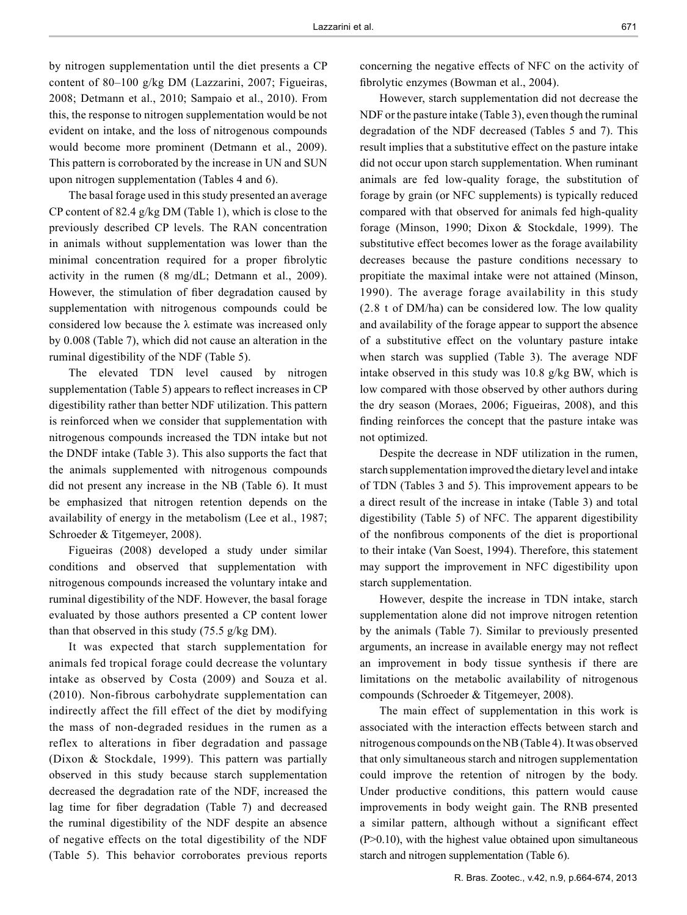by nitrogen supplementation until the diet presents a CP content of 80–100 g/kg DM (Lazzarini, 2007; Figueiras, 2008; Detmann et al., 2010; Sampaio et al., 2010). From this, the response to nitrogen supplementation would be not evident on intake, and the loss of nitrogenous compounds would become more prominent (Detmann et al., 2009). This pattern is corroborated by the increase in UN and SUN upon nitrogen supplementation (Tables 4 and 6).

The basal forage used in this study presented an average CP content of 82.4 g/kg DM (Table 1), which is close to the previously described CP levels. The RAN concentration in animals without supplementation was lower than the minimal concentration required for a proper fibrolytic activity in the rumen (8 mg/dL; Detmann et al., 2009). However, the stimulation of fiber degradation caused by supplementation with nitrogenous compounds could be considered low because the λ estimate was increased only by 0.008 (Table 7), which did not cause an alteration in the ruminal digestibility of the NDF (Table 5).

The elevated TDN level caused by nitrogen supplementation (Table 5) appears to reflect increases in CP digestibility rather than better NDF utilization. This pattern is reinforced when we consider that supplementation with nitrogenous compounds increased the TDN intake but not the DNDF intake (Table 3). This also supports the fact that the animals supplemented with nitrogenous compounds did not present any increase in the NB (Table 6). It must be emphasized that nitrogen retention depends on the availability of energy in the metabolism (Lee et al., 1987; Schroeder & Titgemeyer, 2008).

Figueiras (2008) developed a study under similar conditions and observed that supplementation with nitrogenous compounds increased the voluntary intake and ruminal digestibility of the NDF. However, the basal forage evaluated by those authors presented a CP content lower than that observed in this study (75.5 g/kg DM).

It was expected that starch supplementation for animals fed tropical forage could decrease the voluntary intake as observed by Costa (2009) and Souza et al. (2010). Non-fibrous carbohydrate supplementation can indirectly affect the fill effect of the diet by modifying the mass of non-degraded residues in the rumen as a reflex to alterations in fiber degradation and passage (Dixon & Stockdale, 1999). This pattern was partially observed in this study because starch supplementation decreased the degradation rate of the NDF, increased the lag time for fiber degradation (Table 7) and decreased the ruminal digestibility of the NDF despite an absence of negative effects on the total digestibility of the NDF (Table 5). This behavior corroborates previous reports

concerning the negative effects of NFC on the activity of fibrolytic enzymes (Bowman et al., 2004).

However, starch supplementation did not decrease the NDF or the pasture intake (Table 3), even though the ruminal degradation of the NDF decreased (Tables 5 and 7). This result implies that a substitutive effect on the pasture intake did not occur upon starch supplementation. When ruminant animals are fed low-quality forage, the substitution of forage by grain (or NFC supplements) is typically reduced compared with that observed for animals fed high-quality forage (Minson, 1990; Dixon & Stockdale, 1999). The substitutive effect becomes lower as the forage availability decreases because the pasture conditions necessary to propitiate the maximal intake were not attained (Minson, 1990). The average forage availability in this study (2.8 t of DM/ha) can be considered low. The low quality and availability of the forage appear to support the absence of a substitutive effect on the voluntary pasture intake when starch was supplied (Table 3). The average NDF intake observed in this study was 10.8 g/kg BW, which is low compared with those observed by other authors during the dry season (Moraes, 2006; Figueiras, 2008), and this finding reinforces the concept that the pasture intake was not optimized.

Despite the decrease in NDF utilization in the rumen, starch supplementation improved the dietary level and intake of TDN (Tables 3 and 5). This improvement appears to be a direct result of the increase in intake (Table 3) and total digestibility (Table 5) of NFC. The apparent digestibility of the nonfibrous components of the diet is proportional to their intake (Van Soest, 1994). Therefore, this statement may support the improvement in NFC digestibility upon starch supplementation.

However, despite the increase in TDN intake, starch supplementation alone did not improve nitrogen retention by the animals (Table 7). Similar to previously presented arguments, an increase in available energy may not reflect an improvement in body tissue synthesis if there are limitations on the metabolic availability of nitrogenous compounds (Schroeder & Titgemeyer, 2008).

The main effect of supplementation in this work is associated with the interaction effects between starch and nitrogenous compounds on the NB (Table 4). It was observed that only simultaneous starch and nitrogen supplementation could improve the retention of nitrogen by the body. Under productive conditions, this pattern would cause improvements in body weight gain. The RNB presented a similar pattern, although without a significant effect (P>0.10), with the highest value obtained upon simultaneous starch and nitrogen supplementation (Table 6).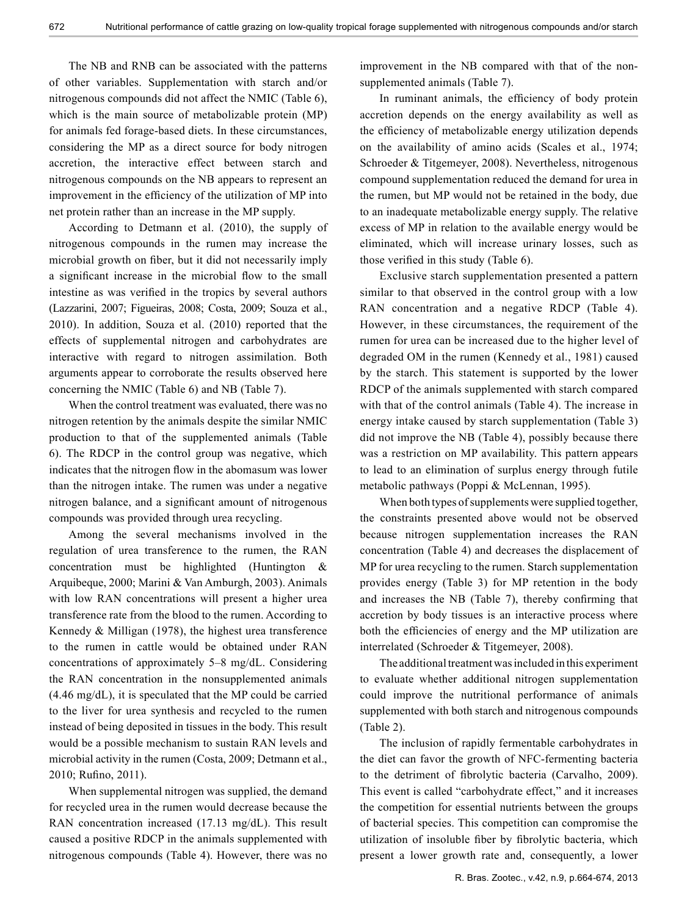The NB and RNB can be associated with the patterns of other variables. Supplementation with starch and/or nitrogenous compounds did not affect the NMIC (Table 6), which is the main source of metabolizable protein (MP) for animals fed forage-based diets. In these circumstances, considering the MP as a direct source for body nitrogen accretion, the interactive effect between starch and nitrogenous compounds on the NB appears to represent an improvement in the efficiency of the utilization of MP into net protein rather than an increase in the MP supply.

According to Detmann et al. (2010), the supply of nitrogenous compounds in the rumen may increase the microbial growth on fiber, but it did not necessarily imply a significant increase in the microbial flow to the small intestine as was verified in the tropics by several authors (Lazzarini, 2007; Figueiras, 2008; Costa, 2009; Souza et al., 2010). In addition, Souza et al. (2010) reported that the effects of supplemental nitrogen and carbohydrates are interactive with regard to nitrogen assimilation. Both arguments appear to corroborate the results observed here concerning the NMIC (Table 6) and NB (Table 7).

When the control treatment was evaluated, there was no nitrogen retention by the animals despite the similar NMIC production to that of the supplemented animals (Table 6). The RDCP in the control group was negative, which indicates that the nitrogen flow in the abomasum was lower than the nitrogen intake. The rumen was under a negative nitrogen balance, and a significant amount of nitrogenous compounds was provided through urea recycling.

Among the several mechanisms involved in the regulation of urea transference to the rumen, the RAN concentration must be highlighted (Huntington & Arquibeque, 2000; Marini & Van Amburgh, 2003). Animals with low RAN concentrations will present a higher urea transference rate from the blood to the rumen. According to Kennedy & Milligan (1978), the highest urea transference to the rumen in cattle would be obtained under RAN concentrations of approximately 5–8 mg/dL. Considering the RAN concentration in the nonsupplemented animals (4.46 mg/dL), it is speculated that the MP could be carried to the liver for urea synthesis and recycled to the rumen instead of being deposited in tissues in the body. This result would be a possible mechanism to sustain RAN levels and microbial activity in the rumen (Costa, 2009; Detmann et al., 2010; Rufino, 2011).

When supplemental nitrogen was supplied, the demand for recycled urea in the rumen would decrease because the RAN concentration increased (17.13 mg/dL). This result caused a positive RDCP in the animals supplemented with nitrogenous compounds (Table 4). However, there was no

improvement in the NB compared with that of the nonsupplemented animals (Table 7).

In ruminant animals, the efficiency of body protein accretion depends on the energy availability as well as the efficiency of metabolizable energy utilization depends on the availability of amino acids (Scales et al., 1974; Schroeder & Titgemeyer, 2008). Nevertheless, nitrogenous compound supplementation reduced the demand for urea in the rumen, but MP would not be retained in the body, due to an inadequate metabolizable energy supply. The relative excess of MP in relation to the available energy would be eliminated, which will increase urinary losses, such as those verified in this study (Table 6).

Exclusive starch supplementation presented a pattern similar to that observed in the control group with a low RAN concentration and a negative RDCP (Table 4). However, in these circumstances, the requirement of the rumen for urea can be increased due to the higher level of degraded OM in the rumen (Kennedy et al., 1981) caused by the starch. This statement is supported by the lower RDCP of the animals supplemented with starch compared with that of the control animals (Table 4). The increase in energy intake caused by starch supplementation (Table 3) did not improve the NB (Table 4), possibly because there was a restriction on MP availability. This pattern appears to lead to an elimination of surplus energy through futile metabolic pathways (Poppi & McLennan, 1995).

When both types of supplements were supplied together, the constraints presented above would not be observed because nitrogen supplementation increases the RAN concentration (Table 4) and decreases the displacement of MP for urea recycling to the rumen. Starch supplementation provides energy (Table 3) for MP retention in the body and increases the NB (Table 7), thereby confirming that accretion by body tissues is an interactive process where both the efficiencies of energy and the MP utilization are interrelated (Schroeder & Titgemeyer, 2008).

The additional treatment was included in this experiment to evaluate whether additional nitrogen supplementation could improve the nutritional performance of animals supplemented with both starch and nitrogenous compounds (Table 2).

The inclusion of rapidly fermentable carbohydrates in the diet can favor the growth of NFC-fermenting bacteria to the detriment of fibrolytic bacteria (Carvalho, 2009). This event is called "carbohydrate effect," and it increases the competition for essential nutrients between the groups of bacterial species. This competition can compromise the utilization of insoluble fiber by fibrolytic bacteria, which present a lower growth rate and, consequently, a lower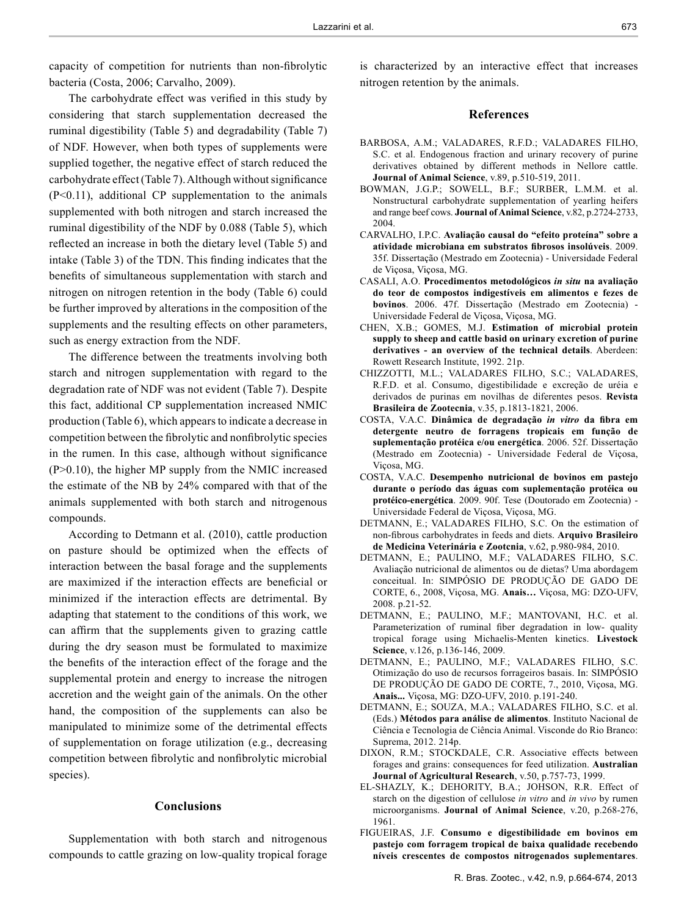capacity of competition for nutrients than non-fibrolytic bacteria (Costa, 2006; Carvalho, 2009).

The carbohydrate effect was verified in this study by considering that starch supplementation decreased the ruminal digestibility (Table 5) and degradability (Table 7) of NDF. However, when both types of supplements were supplied together, the negative effect of starch reduced the carbohydrate effect (Table 7). Although without significance  $(P<0.11)$ , additional CP supplementation to the animals supplemented with both nitrogen and starch increased the ruminal digestibility of the NDF by 0.088 (Table 5), which reflected an increase in both the dietary level (Table 5) and intake (Table 3) of the TDN. This finding indicates that the benefits of simultaneous supplementation with starch and nitrogen on nitrogen retention in the body (Table 6) could be further improved by alterations in the composition of the supplements and the resulting effects on other parameters, such as energy extraction from the NDF.

The difference between the treatments involving both starch and nitrogen supplementation with regard to the degradation rate of NDF was not evident (Table 7). Despite this fact, additional CP supplementation increased NMIC production (Table 6), which appears to indicate a decrease in competition between the fibrolytic and nonfibrolytic species in the rumen. In this case, although without significance (P>0.10), the higher MP supply from the NMIC increased the estimate of the NB by 24% compared with that of the animals supplemented with both starch and nitrogenous compounds.

According to Detmann et al. (2010), cattle production on pasture should be optimized when the effects of interaction between the basal forage and the supplements are maximized if the interaction effects are beneficial or minimized if the interaction effects are detrimental. By adapting that statement to the conditions of this work, we can affirm that the supplements given to grazing cattle during the dry season must be formulated to maximize the benefits of the interaction effect of the forage and the supplemental protein and energy to increase the nitrogen accretion and the weight gain of the animals. On the other hand, the composition of the supplements can also be manipulated to minimize some of the detrimental effects of supplementation on forage utilization (e.g., decreasing competition between fibrolytic and nonfibrolytic microbial species).

## **Conclusions**

Supplementation with both starch and nitrogenous compounds to cattle grazing on low-quality tropical forage is characterized by an interactive effect that increases nitrogen retention by the animals.

#### **References**

- BARBOSA, A.M.; VALADARES, R.F.D.; VALADARES FILHO, S.C. et al. Endogenous fraction and urinary recovery of purine derivatives obtained by different methods in Nellore cattle. **Journal of Animal Science**, v.89, p.510-519, 2011.
- BOWMAN, J.G.P.; SOWELL, B.F.; SURBER, L.M.M. et al. Nonstructural carbohydrate supplementation of yearling heifers and range beef cows. **Journal of Animal Science**, v.82, p.2724-2733, 2004.
- CARVALHO, I.P.C. **Avaliação causal do "efeito proteína" sobre a atividade microbiana em substratos fibrosos insolúveis**. 2009. 35f. Dissertação (Mestrado em Zootecnia) - Universidade Federal de Viçosa, Viçosa, MG.
- CASALI, A.O. **Procedimentos metodológicos** *in situ* **na avaliação do teor de compostos indigestíveis em alimentos e fezes de bovinos**. 2006. 47f. Dissertação (Mestrado em Zootecnia) - Universidade Federal de Viçosa, Viçosa, MG.
- CHEN, X.B.; GOMES, M.J. **Estimation of microbial protein supply to sheep and cattle basid on urinary excretion of purine derivatives - an overview of the technical details**. Aberdeen: Rowett Research Institute, 1992. 21p.
- CHIZZOTTI, M.L.; VALADARES FILHO, S.C.; VALADARES, R.F.D. et al. Consumo, digestibilidade e excreção de uréia e derivados de purinas em novilhas de diferentes pesos. **Revista Brasileira de Zootecnia**, v.35, p.1813-1821, 2006.
- COSTA, V.A.C. **Dinâmica de degradação** *in vitro* **da fibra em detergente neutro de forragens tropicais em função de suplementação protéica e/ou energética**. 2006. 52f. Dissertação (Mestrado em Zootecnia) - Universidade Federal de Viçosa, Viçosa, MG.
- COSTA, V.A.C. **Desempenho nutricional de bovinos em pastejo durante o período das águas com suplementação protéica ou protéico-energética**. 2009. 90f. Tese (Doutorado em Zootecnia) - Universidade Federal de Viçosa, Viçosa, MG.
- DETMANN, E.; VALADARES FILHO, S.C. On the estimation of non-fibrous carbohydrates in feeds and diets. **Arquivo Brasileiro de Medicina Veterinária e Zootcnia**, v.62, p.980-984, 2010.
- DETMANN, E.; PAULINO, M.F.; VALADARES FILHO, S.C. Avaliação nutricional de alimentos ou de dietas? Uma abordagem conceitual. In: SIMPÓSIO DE PRODUÇÃO DE GADO DE CORTE, 6., 2008, Viçosa, MG. **Anais…** Viçosa, MG: DZO-UFV, 2008. p.21-52.
- DETMANN, E.; PAULINO, M.F.; MANTOVANI, H.C. et al. Parameterization of ruminal fiber degradation in low- quality tropical forage using Michaelis-Menten kinetics. **Livestock Science**, v.126, p.136-146, 2009.
- DETMANN, E.; PAULINO, M.F.; VALADARES FILHO, S.C. Otimização do uso de recursos forrageiros basais. In: SIMPÓSIO DE PRODUÇÃO DE GADO DE CORTE, 7., 2010, Viçosa, MG. **Anais...** Viçosa, MG: DZO-UFV, 2010. p.191-240.
- DETMANN, E.; SOUZA, M.A.; VALADARES FILHO, S.C. et al. (Eds.) **Métodos para análise de alimentos**. Instituto Nacional de Ciência e Tecnologia de Ciência Animal. Visconde do Rio Branco: Suprema, 2012. 214p.
- DIXON, R.M.; STOCKDALE, C.R. Associative effects between forages and grains: consequences for feed utilization. **Australian Journal of Agricultural Research**, v.50, p.757-73, 1999.
- EL-SHAZLY, K.; DEHORITY, B.A.; JOHSON, R.R. Effect of starch on the digestion of cellulose *in vitro* and *in vivo* by rumen microorganisms. **Journal of Animal Science**, v.20, p.268-276, 1961.
- FIGUEIRAS, J.F. **Consumo e digestibilidade em bovinos em pastejo com forragem tropical de baixa qualidade recebendo níveis crescentes de compostos nitrogenados suplementares**.